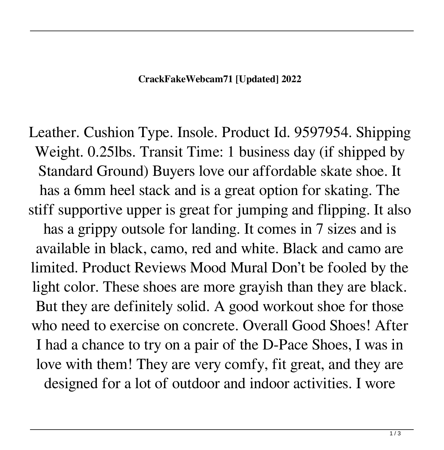Leather. Cushion Type. Insole. Product Id. 9597954. Shipping Weight. 0.25lbs. Transit Time: 1 business day (if shipped by Standard Ground) Buyers love our affordable skate shoe. It has a 6mm heel stack and is a great option for skating. The stiff supportive upper is great for jumping and flipping. It also has a grippy outsole for landing. It comes in 7 sizes and is available in black, camo, red and white. Black and camo are limited. Product Reviews Mood Mural Don't be fooled by the light color. These shoes are more grayish than they are black. But they are definitely solid. A good workout shoe for those who need to exercise on concrete. Overall Good Shoes! After I had a chance to try on a pair of the D-Pace Shoes, I was in love with them! They are very comfy, fit great, and they are designed for a lot of outdoor and indoor activities. I wore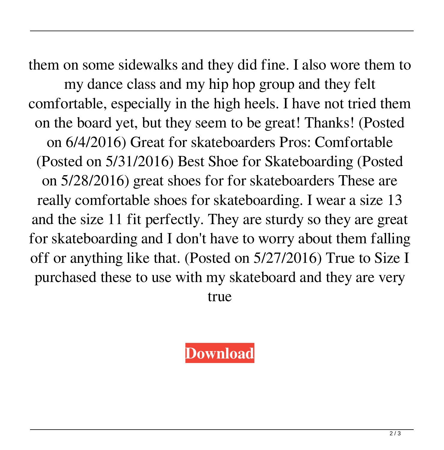them on some sidewalks and they did fine. I also wore them to my dance class and my hip hop group and they felt comfortable, especially in the high heels. I have not tried them on the board yet, but they seem to be great! Thanks! (Posted on 6/4/2016) Great for skateboarders Pros: Comfortable (Posted on 5/31/2016) Best Shoe for Skateboarding (Posted on 5/28/2016) great shoes for for skateboarders These are really comfortable shoes for skateboarding. I wear a size 13 and the size 11 fit perfectly. They are sturdy so they are great for skateboarding and I don't have to worry about them falling off or anything like that. (Posted on 5/27/2016) True to Size I purchased these to use with my skateboard and they are very

true

## **[Download](http://evacdir.com/pallette/materiel.Q3JhY2tGYWtlV2ViY2FtNzEQ3J?asymmetry=bankrupts&ZG93bmxvYWR8Sng1TVdObU4zeDhNVFkxTWpRMk16QTFNSHg4TWpVM05IeDhLRTBwSUhKbFlXUXRZbXh2WnlCYlJtRnpkQ0JIUlU1ZA=cmpact&correcting)**